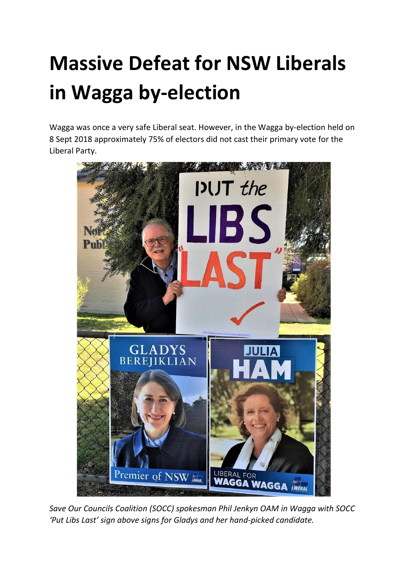## **Massive Defeat for NSW Liberals in Wagga by-election**

Wagga was once a very safe Liberal seat. However, in the Wagga by-election held on 8 Sept 2018 approximately 75% of electors did not cast their primary vote for the Liberal Party.



*Save Our Councils Coalition (SOCC) spokesman Phil Jenkyn OAM in Wagga with SOCC 'Put Libs Last' sign above signs for Gladys and her hand-picked candidate.*